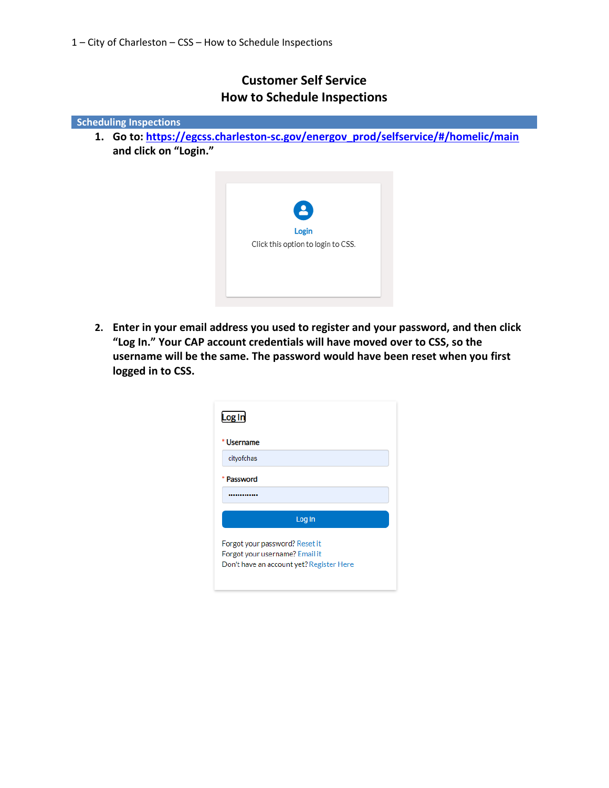## **Customer Self Service How to Schedule Inspections**



**2. Enter in your email address you used to register and your password, and then click "Log In." Your CAP account credentials will have moved over to CSS, so the username will be the same. The password would have been reset when you first logged in to CSS.**

| Log In                                                                                                       |  |  |  |  |
|--------------------------------------------------------------------------------------------------------------|--|--|--|--|
| <b>Username</b>                                                                                              |  |  |  |  |
| cityofchas                                                                                                   |  |  |  |  |
| Password                                                                                                     |  |  |  |  |
|                                                                                                              |  |  |  |  |
| Log In                                                                                                       |  |  |  |  |
| Forgot your password? Reset it<br>Forgot your username? Email it<br>Don't have an account yet? Register Here |  |  |  |  |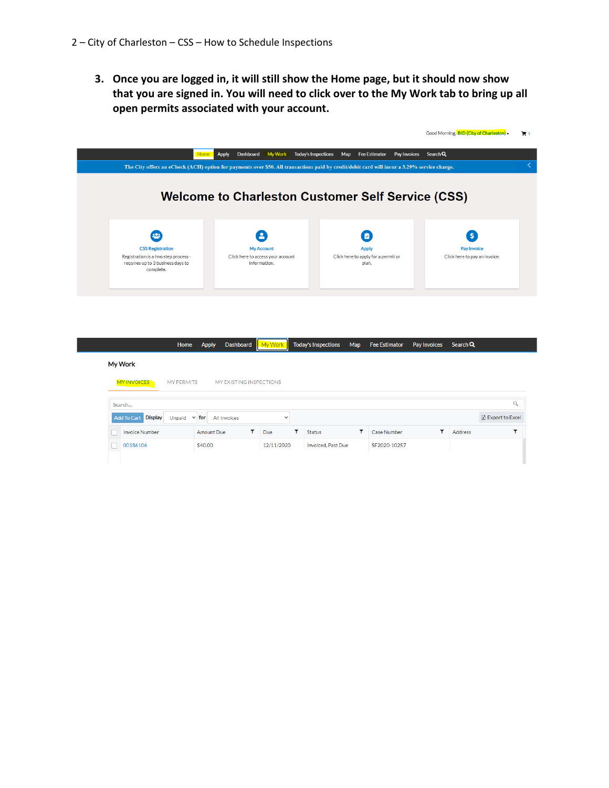**3. Once you are logged in, it will still show the Home page, but it should now show that you are signed in. You will need to click over to the My Work tab to bring up all open permits associated with your account.**



|             |                       | Home              | Apply   |                   | Dashboard               |   | My Worl     | <b>Today's Inspections</b> | Map | Fee Estimator | Pay Invoices | Search Q |                   |
|-------------|-----------------------|-------------------|---------|-------------------|-------------------------|---|-------------|----------------------------|-----|---------------|--------------|----------|-------------------|
|             | <b>My Work</b>        |                   |         |                   |                         |   |             |                            |     |               |              |          |                   |
|             | <b>MY INVOICES</b>    | <b>MY PERMITS</b> |         |                   | MY EXISTING INSPECTIONS |   |             |                            |     |               |              |          |                   |
| Q<br>Search |                       |                   |         |                   |                         |   |             |                            |     |               |              |          |                   |
|             | Add To Cart Display   | Unpaid $\vee$ for |         |                   | All Invoices            |   | $\check{ }$ |                            |     |               |              |          | X Export to Excel |
|             | <b>Invoice Number</b> |                   |         | <b>Amount Due</b> |                         | ۳ | Due         | <b>Status</b>              | ۳   | Case Number   | ▽            | Address  |                   |
|             | 00186106              |                   | \$40.00 |                   |                         |   | 12/11/2020  | Invoiced, Past Due         |     | SF2020-10257  |              |          |                   |
|             |                       |                   |         |                   |                         |   |             |                            |     |               |              |          |                   |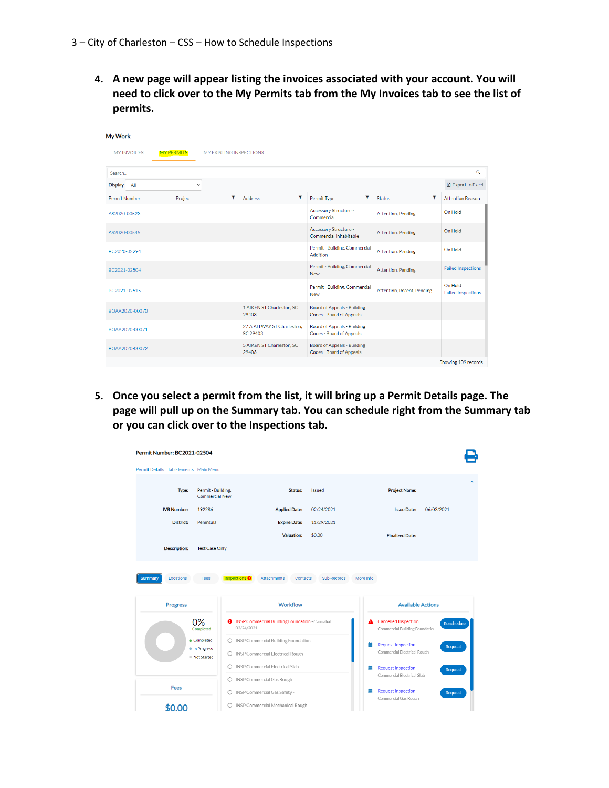**4. A new page will appear listing the invoices associated with your account. You will need to click over to the My Permits tab from the My Invoices tab to see the list of permits.**

| My Work               |                   |   |                                        |                                                         |                            |                                      |
|-----------------------|-------------------|---|----------------------------------------|---------------------------------------------------------|----------------------------|--------------------------------------|
| <b>MY INVOICES</b>    | <b>MY PERMITS</b> |   | MY EXISTING INSPECTIONS                |                                                         |                            |                                      |
| Search                |                   |   |                                        |                                                         |                            | $\alpha$                             |
| <b>Display</b><br>All | $\checkmark$      |   |                                        |                                                         |                            | R Export to Excel                    |
| Permit Number         | Project           | ۳ | ۳<br><b>Address</b>                    | ۳<br>Permit Type                                        | Y<br><b>Status</b>         | <b>Attention Reason</b>              |
| AS2020-00523          |                   |   |                                        | <b>Accessory Structure -</b><br>Commercial              | <b>Attention, Pending</b>  | On Hold                              |
| AS2020-00545          |                   |   |                                        | Accessory Structure -<br>Commercial Inhabitable         | <b>Attention, Pending</b>  | On Hold                              |
| BC2020-02294          |                   |   |                                        | Permit - Building, Commercial<br>Addition               | <b>Attention, Pending</b>  | On Hold                              |
| BC2021-02504          |                   |   |                                        | Permit - Building, Commercial<br><b>New</b>             | <b>Attention, Pending</b>  | <b>Failed Inspections</b>            |
| BC2021-02515          |                   |   |                                        | Permit - Building, Commercial<br><b>New</b>             | Attention, Recent, Pending | On Hold<br><b>Failed Inspections</b> |
| BOAA2020-00070        |                   |   | 1 AIKEN ST Charleston, SC<br>29403     | Board of Appeals - Building<br>Codes - Board of Appeals |                            |                                      |
| BOAA2020-00071        |                   |   | 27 A ALLWAY ST Charleston.<br>SC 29403 | Board of Appeals - Building<br>Codes - Board of Appeals |                            |                                      |
| BOAA2020-00072        |                   |   | 5 AIKEN ST Charleston, SC<br>29403     | Board of Appeals - Building<br>Codes - Board of Appeals |                            |                                      |

**5. Once you select a permit from the list, it will bring up a Permit Details page. The page will pull up on the Summary tab. You can schedule right from the Summary tab or you can click over to the Inspections tab.**

| Permit Number: BC2021-02504               |                                      |                                                                        |               |                                                                                |
|-------------------------------------------|--------------------------------------|------------------------------------------------------------------------|---------------|--------------------------------------------------------------------------------|
| Permit Details   Tab Elements   Main Menu |                                      |                                                                        |               |                                                                                |
| Type:                                     | Permit - Building,<br>Commercial New | Status:                                                                | <b>Issued</b> | <b>Project Name:</b>                                                           |
| <b>IVR Number:</b>                        | 192286                               | <b>Applied Date:</b>                                                   | 02/24/2021    | <b>Issue Date:</b><br>06/02/2021                                               |
| District:                                 | Peninsula                            | <b>Expire Date:</b>                                                    | 11/29/2021    |                                                                                |
|                                           |                                      | <b>Valuation:</b>                                                      | \$0.00        | <b>Finalized Date:</b>                                                         |
| <b>Description:</b>                       | <b>Test Case Only</b>                |                                                                        |               |                                                                                |
| <b>Progress</b>                           |                                      | <b>Workflow</b>                                                        |               | <b>Available Actions</b>                                                       |
|                                           | 0%<br>02/24/2021<br>Completed        | <b>O</b> INSP Commercial Building Foundation - Cancelled:              |               | <b>Cancelled Inspection</b><br>А<br>Reschedule                                 |
|                                           |                                      |                                                                        |               | Commercial Building Foundation                                                 |
|                                           | Completed                            | O INSP Commercial Building Foundation -                                |               | <b>Request Inspection</b><br>藟<br><b>Request</b>                               |
|                                           | · In Progress<br>Not Started         | O INSP Commercial Electrical Rough -                                   |               | Commercial Electrical Rough                                                    |
|                                           | 0                                    | INSP Commercial Electrical Slab -                                      |               | <b>Request Inspection</b><br>蘦<br><b>Request</b><br>Commercial Electrical Slab |
| <b>Fees</b>                               |                                      | O INSP Commercial Gas Rough -                                          |               |                                                                                |
|                                           |                                      | O INSP Commercial Gas Safety -<br>O INSP Commercial Mechanical Rough - |               | <b>Request Inspection</b><br>蘦<br><b>Request</b><br>Commercial Gas Rough       |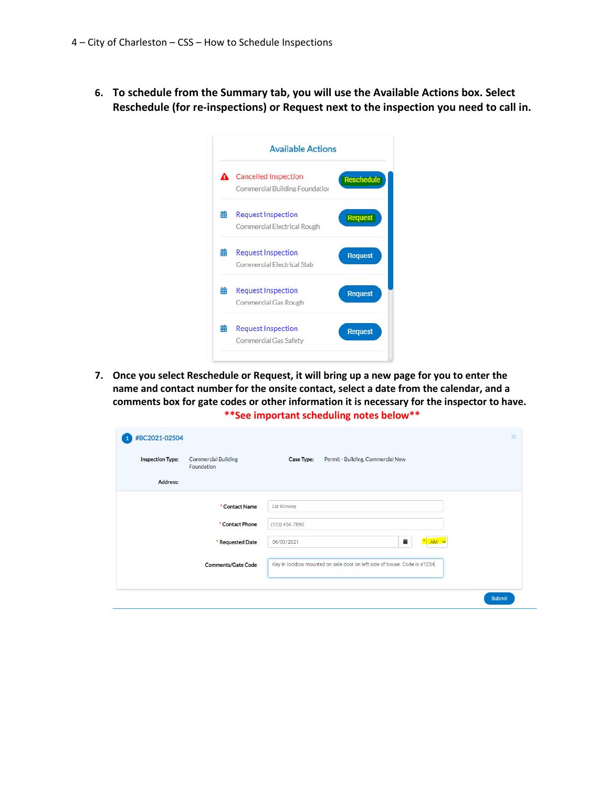**6. To schedule from the Summary tab, you will use the Available Actions box. Select Reschedule (for re-inspections) or Request next to the inspection you need to call in.**

| <b>Cancelled Inspection</b>                              |                   |
|----------------------------------------------------------|-------------------|
| Commercial Building Foundatior                           | <b>Reschedule</b> |
| <b>Request Inspection</b><br>Commercial Electrical Rough | <b>Request</b>    |
| <b>Request Inspection</b><br>Commercial Electrical Slab  | <b>Request</b>    |
| <b>Request Inspection</b><br>Commercial Gas Rough        | <b>Request</b>    |
| <b>Request Inspection</b><br>Commercial Gas Safety       | <b>Request</b>    |
|                                                          |                   |

**7. Once you select Reschedule or Request, it will bring up a new page for you to enter the name and contact number for the onsite contact, select a date from the calendar, and a comments box for gate codes or other information it is necessary for the inspector to have. \*\*See important scheduling notes below\*\***

| #BC2021-02504           |                                          |                                                                          | × |
|-------------------------|------------------------------------------|--------------------------------------------------------------------------|---|
| <b>Inspection Type:</b> | <b>Commercial Building</b><br>Foundation | Permit - Building, Commercial New<br>Case Type:                          |   |
| <b>Address:</b>         |                                          |                                                                          |   |
|                         | * Contact Name                           | <b>Liz Kimsey</b>                                                        |   |
|                         | * Contact Phone                          | (123) 456-7890                                                           |   |
|                         | * Requested Date                         | ö<br>06/03/2021<br>$AM \times$                                           |   |
|                         | <b>Comments/Gate Code</b>                | Key in lockbox mounted on side door on left side of house. Code is #1234 |   |
|                         |                                          | <b>Submit</b>                                                            |   |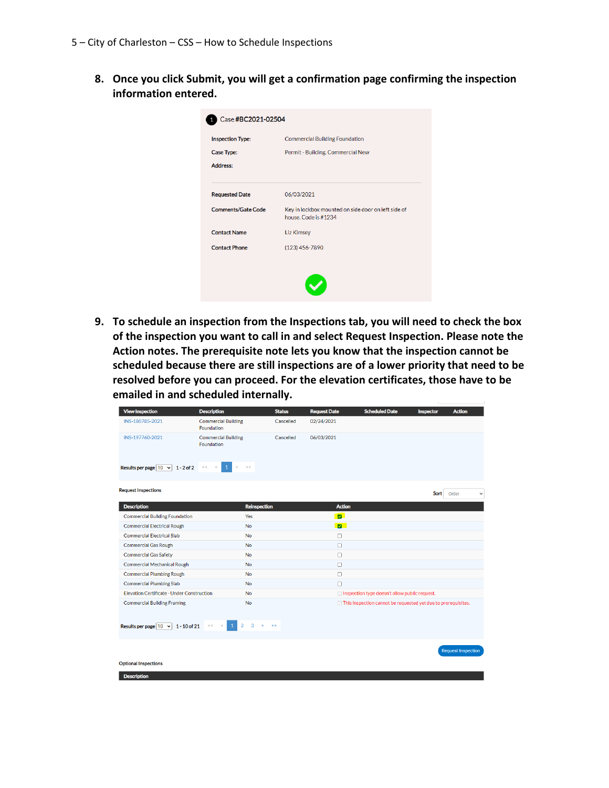**8. Once you click Submit, you will get a confirmation page confirming the inspection information entered.**

| <b>Inspection Type:</b><br><b>Case Type:</b> | <b>Commercial Building Foundation</b><br>Permit - Building, Commercial New  |
|----------------------------------------------|-----------------------------------------------------------------------------|
| <b>Address:</b>                              |                                                                             |
| <b>Requested Date</b>                        | 06/03/2021                                                                  |
| <b>Comments/Gate Code</b>                    | Key in lockbox mounted on side door on left side of<br>house. Code is #1234 |
| <b>Contact Name</b>                          | <b>Liz Kimsey</b>                                                           |
| <b>Contact Phone</b>                         | (123) 456-7890                                                              |
|                                              |                                                                             |

**9. To schedule an inspection from the Inspections tab, you will need to check the box of the inspection you want to call in and select Request Inspection. Please note the Action notes. The prerequisite note lets you know that the inspection cannot be scheduled because there are still inspections are of a lower priority that need to be resolved before you can proceed. For the elevation certificates, those have to be emailed in and scheduled internally.**

| <b>View Inspection</b>                          | <b>Description</b>                                                            | <b>Status</b> | <b>Request Date</b>     | <b>Scheduled Date</b>                                                | Inspector | <b>Action</b>             |
|-------------------------------------------------|-------------------------------------------------------------------------------|---------------|-------------------------|----------------------------------------------------------------------|-----------|---------------------------|
| INS-180785-2021                                 | <b>Commercial Building</b><br>Foundation                                      | Cancelled     | 02/24/2021              |                                                                      |           |                           |
| INS-197760-2021                                 | <b>Commercial Building</b><br>Foundation                                      | Cancelled     | 06/03/2021              |                                                                      |           |                           |
| Results per page $\boxed{10 \times 1}$ - 2 of 2 | $\mathbf{1}$<br>$\,<$<br>$\overline{\phantom{a}}$<br>$\,>\,$<br>$\rightarrow$ |               |                         |                                                                      |           |                           |
| <b>Request Inspections</b>                      |                                                                               |               |                         |                                                                      | Sort      | Order<br>$\checkmark$     |
| <b>Description</b>                              | <b>Reinspection</b>                                                           |               | <b>Action</b>           |                                                                      |           |                           |
| <b>Commercial Building Foundation</b>           | Yes                                                                           |               | $\blacksquare$          |                                                                      |           |                           |
| <b>Commercial Electrical Rough</b>              | <b>No</b>                                                                     |               | $\overline{\mathbf{z}}$ |                                                                      |           |                           |
| <b>Commercial Electrical Slab</b>               | <b>No</b>                                                                     |               | $\Box$                  |                                                                      |           |                           |
| <b>Commercial Gas Rough</b>                     | <b>No</b>                                                                     |               | $\Box$                  |                                                                      |           |                           |
| <b>Commercial Gas Safety</b>                    | <b>No</b>                                                                     |               | $\Box$                  |                                                                      |           |                           |
| <b>Commercial Mechanical Rough</b>              | <b>No</b>                                                                     |               | $\Box$                  |                                                                      |           |                           |
| <b>Commercial Plumbing Rough</b>                | <b>No</b>                                                                     |               | $\Box$                  |                                                                      |           |                           |
| <b>Commercial Plumbing Slab</b>                 | <b>No</b>                                                                     |               | $\Box$                  |                                                                      |           |                           |
| Elevation Certificate - Under Construction      | <b>No</b>                                                                     |               |                         | □ Inspection type doesn't allow public request.                      |           |                           |
| <b>Commercial Building Framing</b>              | <b>No</b>                                                                     |               |                         | $\Box$ This inspection cannot be requested yet due to prerequisites. |           |                           |
| Results per page $ 10 \times 1 - 10$ of 21      | $\mathbf{1}$<br>$\overline{2}$<br>3<br>$\leq$ 1<br>$\rightarrow$<br><<        | $\rightarrow$ |                         |                                                                      |           |                           |
| <b>Optional Inspections</b>                     |                                                                               |               |                         |                                                                      |           | <b>Request Inspection</b> |
| <b>Description</b>                              |                                                                               |               |                         |                                                                      |           |                           |